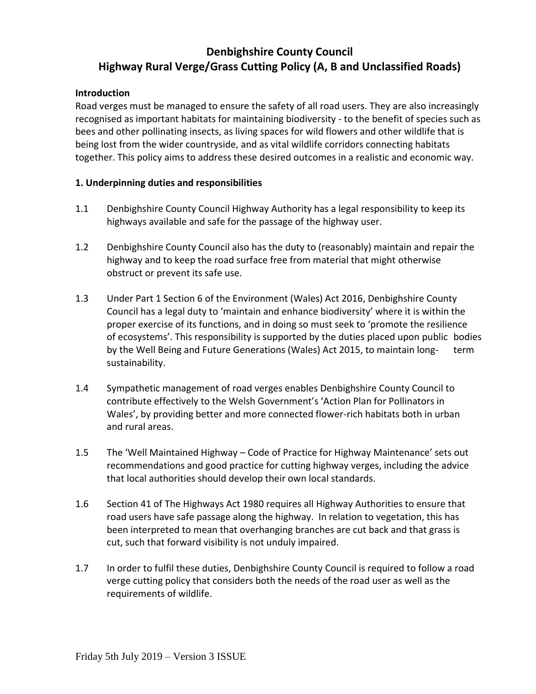# **Denbighshire County Council Highway Rural Verge/Grass Cutting Policy (A, B and Unclassified Roads)**

#### **Introduction**

Road verges must be managed to ensure the safety of all road users. They are also increasingly recognised as important habitats for maintaining biodiversity - to the benefit of species such as bees and other pollinating insects, as living spaces for wild flowers and other wildlife that is being lost from the wider countryside, and as vital wildlife corridors connecting habitats together. This policy aims to address these desired outcomes in a realistic and economic way.

#### **1. Underpinning duties and responsibilities**

- 1.1 Denbighshire County Council Highway Authority has a legal responsibility to keep its highways available and safe for the passage of the highway user.
- 1.2 Denbighshire County Council also has the duty to (reasonably) maintain and repair the highway and to keep the road surface free from material that might otherwise obstruct or prevent its safe use.
- 1.3 Under Part 1 Section 6 of the Environment (Wales) Act 2016, Denbighshire County Council has a legal duty to 'maintain and enhance biodiversity' where it is within the proper exercise of its functions, and in doing so must seek to 'promote the resilience of ecosystems'. This responsibility is supported by the duties placed upon public bodies by the Well Being and Future Generations (Wales) Act 2015, to maintain long- term sustainability.
- 1.4 Sympathetic management of road verges enables Denbighshire County Council to contribute effectively to the Welsh Government's 'Action Plan for Pollinators in Wales', by providing better and more connected flower-rich habitats both in urban and rural areas.
- 1.5 The 'Well Maintained Highway Code of Practice for Highway Maintenance' sets out recommendations and good practice for cutting highway verges, including the advice that local authorities should develop their own local standards.
- 1.6 Section 41 of The Highways Act 1980 requires all Highway Authorities to ensure that road users have safe passage along the highway. In relation to vegetation, this has been interpreted to mean that overhanging branches are cut back and that grass is cut, such that forward visibility is not unduly impaired.
- 1.7 In order to fulfil these duties, Denbighshire County Council is required to follow a road verge cutting policy that considers both the needs of the road user as well as the requirements of wildlife.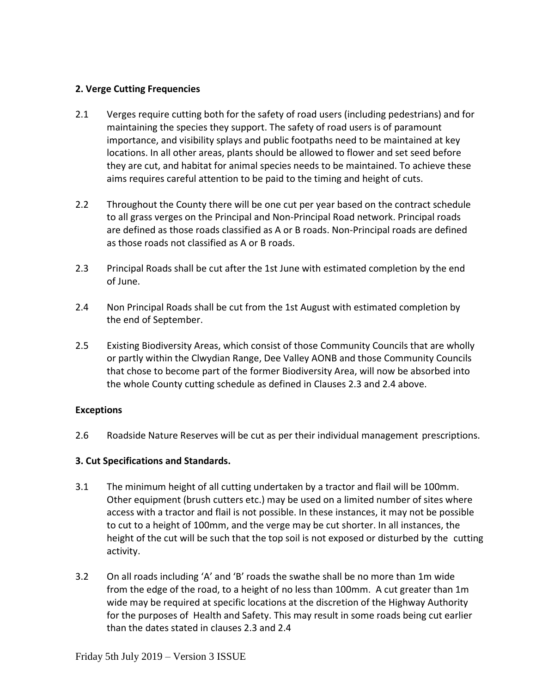### **2. Verge Cutting Frequencies**

- 2.1 Verges require cutting both for the safety of road users (including pedestrians) and for maintaining the species they support. The safety of road users is of paramount importance, and visibility splays and public footpaths need to be maintained at key locations. In all other areas, plants should be allowed to flower and set seed before they are cut, and habitat for animal species needs to be maintained. To achieve these aims requires careful attention to be paid to the timing and height of cuts.
- 2.2 Throughout the County there will be one cut per year based on the contract schedule to all grass verges on the Principal and Non-Principal Road network. Principal roads are defined as those roads classified as A or B roads. Non-Principal roads are defined as those roads not classified as A or B roads.
- 2.3 Principal Roads shall be cut after the 1st June with estimated completion by the end of June.
- 2.4 Non Principal Roads shall be cut from the 1st August with estimated completion by the end of September.
- 2.5 Existing Biodiversity Areas, which consist of those Community Councils that are wholly or partly within the Clwydian Range, Dee Valley AONB and those Community Councils that chose to become part of the former Biodiversity Area, will now be absorbed into the whole County cutting schedule as defined in Clauses 2.3 and 2.4 above.

### **Exceptions**

2.6 Roadside Nature Reserves will be cut as per their individual management prescriptions.

## **3. Cut Specifications and Standards.**

- 3.1 The minimum height of all cutting undertaken by a tractor and flail will be 100mm. Other equipment (brush cutters etc.) may be used on a limited number of sites where access with a tractor and flail is not possible. In these instances, it may not be possible to cut to a height of 100mm, and the verge may be cut shorter. In all instances, the height of the cut will be such that the top soil is not exposed or disturbed by the cutting activity.
- 3.2 On all roads including 'A' and 'B' roads the swathe shall be no more than 1m wide from the edge of the road, to a height of no less than 100mm. A cut greater than 1m wide may be required at specific locations at the discretion of the Highway Authority for the purposes of Health and Safety. This may result in some roads being cut earlier than the dates stated in clauses 2.3 and 2.4